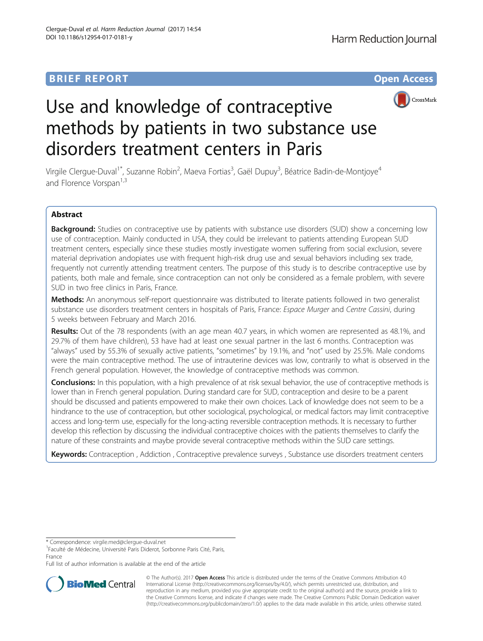# **BRIEF REPORT CONTROL** CONTROL CONTROL CONTROL CONTROL CONTROL CONTROL CONTROL CONTROL CONTROL CONTROL CONTROL CONTROL CONTROL CONTROL CONTROL CONTROL CONTROL CONTROL CONTROL CONTROL CONTROL CONTROL CONTROL CONTROL CONTROL



# Use and knowledge of contraceptive methods by patients in two substance use disorders treatment centers in Paris

Virgile Clergue-Duval<sup>1\*</sup>, Suzanne Robin<sup>2</sup>, Maeva Fortias<sup>3</sup>, Gaël Dupuy<sup>3</sup>, Béatrice Badin-de-Montjoye<sup>4</sup> and Florence Vorspan<sup>1,3</sup>

# Abstract

Background: Studies on contraceptive use by patients with substance use disorders (SUD) show a concerning low use of contraception. Mainly conducted in USA, they could be irrelevant to patients attending European SUD treatment centers, especially since these studies mostly investigate women suffering from social exclusion, severe material deprivation andopiates use with frequent high-risk drug use and sexual behaviors including sex trade, frequently not currently attending treatment centers. The purpose of this study is to describe contraceptive use by patients, both male and female, since contraception can not only be considered as a female problem, with severe SUD in two free clinics in Paris, France.

Methods: An anonymous self-report questionnaire was distributed to literate patients followed in two generalist substance use disorders treatment centers in hospitals of Paris, France: Espace Murger and Centre Cassini, during 5 weeks between February and March 2016.

Results: Out of the 78 respondents (with an age mean 40.7 years, in which women are represented as 48.1%, and 29.7% of them have children), 53 have had at least one sexual partner in the last 6 months. Contraception was "always" used by 55.3% of sexually active patients, "sometimes" by 19.1%, and "not" used by 25.5%. Male condoms were the main contraceptive method. The use of intrauterine devices was low, contrarily to what is observed in the French general population. However, the knowledge of contraceptive methods was common.

**Conclusions:** In this population, with a high prevalence of at risk sexual behavior, the use of contraceptive methods is lower than in French general population. During standard care for SUD, contraception and desire to be a parent should be discussed and patients empowered to make their own choices. Lack of knowledge does not seem to be a hindrance to the use of contraception, but other sociological, psychological, or medical factors may limit contraceptive access and long-term use, especially for the long-acting reversible contraception methods. It is necessary to further develop this reflection by discussing the individual contraceptive choices with the patients themselves to clarify the nature of these constraints and maybe provide several contraceptive methods within the SUD care settings.

Keywords: Contraception, Addiction, Contraceptive prevalence surveys, Substance use disorders treatment centers

\* Correspondence: [virgile.med@clergue-duval.net](mailto:virgile.med@clergue-duval.net) <sup>1</sup>

Full list of author information is available at the end of the article



© The Author(s). 2017 **Open Access** This article is distributed under the terms of the Creative Commons Attribution 4.0 International License [\(http://creativecommons.org/licenses/by/4.0/](http://creativecommons.org/licenses/by/4.0/)), which permits unrestricted use, distribution, and reproduction in any medium, provided you give appropriate credit to the original author(s) and the source, provide a link to the Creative Commons license, and indicate if changes were made. The Creative Commons Public Domain Dedication waiver [\(http://creativecommons.org/publicdomain/zero/1.0/](http://creativecommons.org/publicdomain/zero/1.0/)) applies to the data made available in this article, unless otherwise stated.

<sup>&</sup>lt;sup>1</sup>Faculté de Médecine, Université Paris Diderot, Sorbonne Paris Cité, Paris, France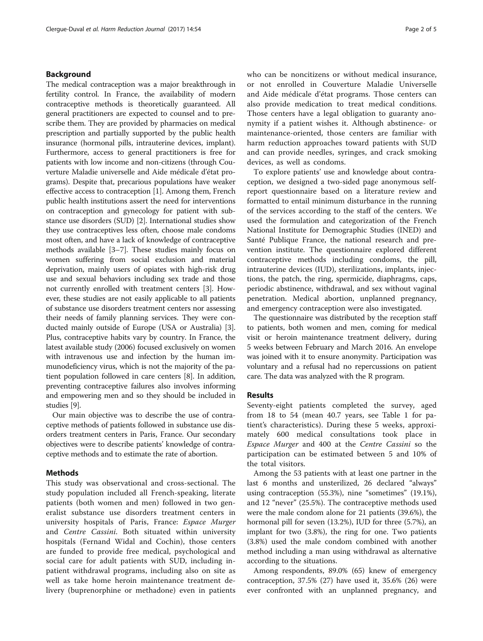## Background

The medical contraception was a major breakthrough in fertility control. In France, the availability of modern contraceptive methods is theoretically guaranteed. All general practitioners are expected to counsel and to prescribe them. They are provided by pharmacies on medical prescription and partially supported by the public health insurance (hormonal pills, intrauterine devices, implant). Furthermore, access to general practitioners is free for patients with low income and non-citizens (through Couverture Maladie universelle and Aide médicale d'état programs). Despite that, precarious populations have weaker effective access to contraception [[1](#page-3-0)]. Among them, French public health institutions assert the need for interventions on contraception and gynecology for patient with substance use disorders (SUD) [[2](#page-3-0)]. International studies show they use contraceptives less often, choose male condoms most often, and have a lack of knowledge of contraceptive methods available [\[3](#page-3-0)–[7\]](#page-4-0). These studies mainly focus on women suffering from social exclusion and material deprivation, mainly users of opiates with high-risk drug use and sexual behaviors including sex trade and those not currently enrolled with treatment centers [\[3](#page-3-0)]. However, these studies are not easily applicable to all patients of substance use disorders treatment centers nor assessing their needs of family planning services. They were conducted mainly outside of Europe (USA or Australia) [[3](#page-3-0)]. Plus, contraceptive habits vary by country. In France, the latest available study (2006) focused exclusively on women with intravenous use and infection by the human immunodeficiency virus, which is not the majority of the patient population followed in care centers [[8\]](#page-4-0). In addition, preventing contraceptive failures also involves informing and empowering men and so they should be included in studies [\[9\]](#page-4-0).

Our main objective was to describe the use of contraceptive methods of patients followed in substance use disorders treatment centers in Paris, France. Our secondary objectives were to describe patients' knowledge of contraceptive methods and to estimate the rate of abortion.

# Methods

This study was observational and cross-sectional. The study population included all French-speaking, literate patients (both women and men) followed in two generalist substance use disorders treatment centers in university hospitals of Paris, France: Espace Murger and Centre Cassini. Both situated within university hospitals (Fernand Widal and Cochin), those centers are funded to provide free medical, psychological and social care for adult patients with SUD, including inpatient withdrawal programs, including also on site as well as take home heroin maintenance treatment delivery (buprenorphine or methadone) even in patients who can be noncitizens or without medical insurance, or not enrolled in Couverture Maladie Universelle and Aide médicale d'état programs. Those centers can also provide medication to treat medical conditions. Those centers have a legal obligation to guaranty anonymity if a patient wishes it. Although abstinence- or maintenance-oriented, those centers are familiar with harm reduction approaches toward patients with SUD and can provide needles, syringes, and crack smoking devices, as well as condoms.

To explore patients' use and knowledge about contraception, we designed a two-sided page anonymous selfreport questionnaire based on a literature review and formatted to entail minimum disturbance in the running of the services according to the staff of the centers. We used the formulation and categorization of the French National Institute for Demographic Studies (INED) and Santé Publique France, the national research and prevention institute. The questionnaire explored different contraceptive methods including condoms, the pill, intrauterine devices (IUD), sterilizations, implants, injections, the patch, the ring, spermicide, diaphragms, caps, periodic abstinence, withdrawal, and sex without vaginal penetration. Medical abortion, unplanned pregnancy, and emergency contraception were also investigated.

The questionnaire was distributed by the reception staff to patients, both women and men, coming for medical visit or heroin maintenance treatment delivery, during 5 weeks between February and March 2016. An envelope was joined with it to ensure anonymity. Participation was voluntary and a refusal had no repercussions on patient care. The data was analyzed with the R program.

## Results

Seventy-eight patients completed the survey, aged from 18 to 54 (mean 40.7 years, see Table [1](#page-2-0) for patient's characteristics). During these 5 weeks, approximately 600 medical consultations took place in Espace Murger and 400 at the Centre Cassini so the participation can be estimated between 5 and 10% of the total visitors.

Among the 53 patients with at least one partner in the last 6 months and unsterilized, 26 declared "always" using contraception (55.3%), nine "sometimes" (19.1%), and 12 "never" (25.5%). The contraceptive methods used were the male condom alone for 21 patients (39.6%), the hormonal pill for seven (13.2%), IUD for three (5.7%), an implant for two (3.8%), the ring for one. Two patients (3.8%) used the male condom combined with another method including a man using withdrawal as alternative according to the situations.

Among respondents, 89.0% (65) knew of emergency contraception,  $37.5\%$  (27) have used it,  $35.6\%$  (26) were ever confronted with an unplanned pregnancy, and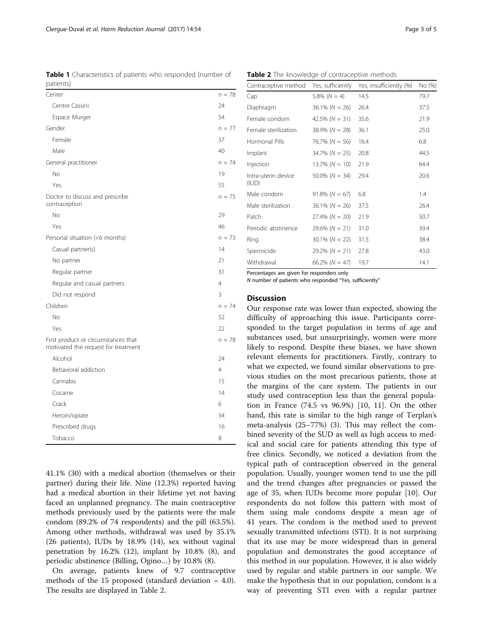41.1% (30) with a medical abortion (themselves or their partner) during their life. Nine (12.3%) reported having had a medical abortion in their lifetime yet not having faced an unplanned pregnancy. The main contraceptive methods previously used by the patients were the male condom (89.2% of 74 respondents) and the pill (63.5%). Among other methods, withdrawal was used by 35.1% (26 patients), IUDs by 18.9% (14), sex without vaginal penetration by 16.2% (12), implant by 10.8% (8), and periodic abstinence (Billing, Ogino…) by 10.8% (8).

On average, patients knew of 9.7 contraceptive methods of the 15 proposed (standard deviation  $= 4.0$ ). The results are displayed in Table 2.

Percentages are given for responders only

N number of patients who responded "Yes, sufficiently"

## Discussion

Our response rate was lower than expected, showing the difficulty of approaching this issue. Participants corresponded to the target population in terms of age and substances used, but unsurprisingly, women were more likely to respond. Despite these biases, we have shown relevant elements for practitioners. Firstly, contrary to what we expected, we found similar observations to previous studies on the most precarious patients, those at the margins of the care system. The patients in our study used contraception less than the general population in France (74.5 vs 96.9%) [\[10, 11\]](#page-4-0). On the other hand, this rate is similar to the high range of Terplan's meta-analysis (25–77%) (3). This may reflect the combined severity of the SUD as well as high access to medical and social care for patients attending this type of free clinics. Secondly, we noticed a deviation from the typical path of contraception observed in the general population. Usually, younger women tend to use the pill and the trend changes after pregnancies or passed the age of 35, when IUDs become more popular [[10](#page-4-0)]. Our respondents do not follow this pattern with most of them using male condoms despite a mean age of 41 years. The condom is the method used to prevent sexually transmitted infections (STI). It is not surprising that its use may be more widespread than in general population and demonstrates the good acceptance of this method in our population. However, it is also widely used by regular and stable partners in our sample. We make the hypothesis that in our population, condom is a way of preventing STI even with a regular partner

<span id="page-2-0"></span>Table 1 Characteristics of patients who responded (number of patients)

| Center                                                                     | $n = 78$       |
|----------------------------------------------------------------------------|----------------|
| Centre Cassini                                                             | 24             |
| Espace Murger                                                              | 54             |
| Gender                                                                     | $n = 77$       |
| Female                                                                     | 37             |
| Male                                                                       | 40             |
| General practitioner                                                       | $n = 74$       |
| No                                                                         | 19             |
| Yes                                                                        | 55             |
| Doctor to discuss and prescribe<br>contraception                           | $n = 75$       |
| No                                                                         | 29             |
| Yes                                                                        | 46             |
| Personal situation (<6 months)                                             | $n = 73$       |
| Casual partner(s)                                                          | 14             |
| No partner                                                                 | 21             |
| Regular partner                                                            | 31             |
| Regular and casual partners                                                | $\overline{4}$ |
| Did not respond                                                            | 3              |
| Children                                                                   | $n = 74$       |
| No                                                                         | 52             |
| Yes                                                                        | 22             |
| First product or circumstances that<br>motivated the request for treatment | $n = 78$       |
| Alcohol                                                                    | 24             |
| Behavioral addiction                                                       | $\overline{4}$ |
| Cannabis                                                                   | 15             |
| Cocaine                                                                    | 14             |
| Crack                                                                      | 6              |
| Heroin/opiate                                                              | 34             |
| Prescribed drugs                                                           | 16             |
| Tobacco                                                                    | 8              |

Table 2 The knowledge of contraceptive methods

| Contraceptive method        | Yes, sufficiently | Yes, insufficiently (%) | No (%) |
|-----------------------------|-------------------|-------------------------|--------|
| Cap                         | 5.8% $(N = 4)$    | 14.5                    | 79.7   |
| Diaphragm                   | $36.1\% (N = 26)$ | 26.4                    | 37.5   |
| Female condom               | $42.5\%$ (N = 31) | 35.6                    | 21.9   |
| Female sterilization        | $38.9\%$ (N = 28) | 36.1                    | 25.0   |
| Hormonal Pills              | $76.7\% (N = 56)$ | 16.4                    | 6.8    |
| Implant                     | $34.7\%$ (N = 25) | 20.8                    | 44.5   |
| Injection                   | $13.7\%$ (N = 10) | 21.9                    | 64.4   |
| Intra-uterin device<br>(ID) | $50.0\%$ (N = 34) | 29.4                    | 20.6   |
| Male condom                 | $91.8\% (N = 67)$ | 6.8                     | 1.4    |
| Male sterilization          | $36.1\% (N = 26)$ | 37.5                    | 26.4   |
| Patch                       | $27.4\%$ (N = 20) | 21.9                    | 50.7   |
| Periodic abstinence         | $29.6\% (N = 21)$ | 31.0                    | 39.4   |
| Ring                        | $30.1\%$ (N = 22) | 31.5                    | 38.4   |
| Spermicide                  | $29.2\% (N = 21)$ | 27.8                    | 43.0   |
| Withdrawal                  | $66.2\%$ (N = 47) | 19.7                    | 14.1   |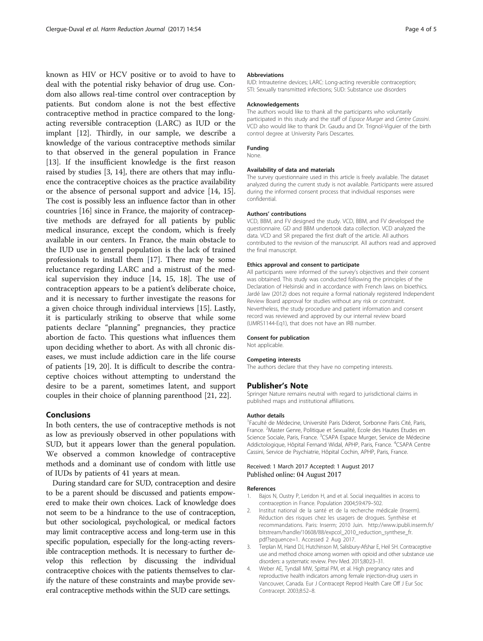<span id="page-3-0"></span>known as HIV or HCV positive or to avoid to have to deal with the potential risky behavior of drug use. Condom also allows real-time control over contraception by patients. But condom alone is not the best effective contraceptive method in practice compared to the longacting reversible contraception (LARC) as IUD or the implant [[12](#page-4-0)]. Thirdly, in our sample, we describe a knowledge of the various contraceptive methods similar to that observed in the general population in France [[13\]](#page-4-0). If the insufficient knowledge is the first reason raised by studies [3, [14](#page-4-0)], there are others that may influence the contraceptive choices as the practice availability or the absence of personal support and advice [\[14](#page-4-0), [15](#page-4-0)]. The cost is possibly less an influence factor than in other countries [[16](#page-4-0)] since in France, the majority of contraceptive methods are defrayed for all patients by public medical insurance, except the condom, which is freely available in our centers. In France, the main obstacle to the IUD use in general population is the lack of trained professionals to install them [[17\]](#page-4-0). There may be some reluctance regarding LARC and a mistrust of the medical supervision they induce [[14](#page-4-0), [15, 18](#page-4-0)]. The use of contraception appears to be a patient's deliberate choice, and it is necessary to further investigate the reasons for a given choice through individual interviews [[15\]](#page-4-0). Lastly, it is particularly striking to observe that while some patients declare "planning" pregnancies, they practice abortion de facto. This questions what influences them upon deciding whether to abort. As with all chronic diseases, we must include addiction care in the life course of patients [[19, 20](#page-4-0)]. It is difficult to describe the contraceptive choices without attempting to understand the desire to be a parent, sometimes latent, and support couples in their choice of planning parenthood [\[21](#page-4-0), [22\]](#page-4-0).

# Conclusions

In both centers, the use of contraceptive methods is not as low as previously observed in other populations with SUD, but it appears lower than the general population. We observed a common knowledge of contraceptive methods and a dominant use of condom with little use of IUDs by patients of 41 years at mean.

During standard care for SUD, contraception and desire to be a parent should be discussed and patients empowered to make their own choices. Lack of knowledge does not seem to be a hindrance to the use of contraception, but other sociological, psychological, or medical factors may limit contraceptive access and long-term use in this specific population, especially for the long-acting reversible contraception methods. It is necessary to further develop this reflection by discussing the individual contraceptive choices with the patients themselves to clarify the nature of these constraints and maybe provide several contraceptive methods within the SUD care settings.

#### Abbreviations

IUD: Intrauterine devices; LARC: Long-acting reversible contraception; STI: Sexually transmitted infections; SUD: Substance use disorders

#### Acknowledgements

The authors would like to thank all the participants who voluntarily participated in this study and the staff of Espace Murger and Centre Cassini. VCD also would like to thank Dr. Gaudu and Dr. Trignol-Viguier of the birth control degree at University Paris Descartes.

#### Funding

None.

#### Availability of data and materials

The survey questionnaire used in this article is freely available. The dataset analyzed during the current study is not available. Participants were assured during the informed consent process that individual responses were confidential.

#### Authors' contributions

VCD, BBM, and FV designed the study. VCD, BBM, and FV developed the questionnaire. GD and BBM undertook data collection. VCD analyzed the data. VCD and SR prepared the first draft of the article. All authors contributed to the revision of the manuscript. All authors read and approved the final manuscript.

#### Ethics approval and consent to participate

All participants were informed of the survey's objectives and their consent was obtained. This study was conducted following the principles of the Declaration of Helsinski and in accordance with French laws on bioethics. Jardé law (2012) does not require a formal nationaly registered Independent Review Board approval for studies without any risk or constraint. Nevertheless, the study procedure and patient information and consent record was reviewed and approved by our internal review board (UMRS1144-Eq1), that does not have an IRB number.

#### Consent for publication

Not applicable.

#### Competing interests

The authors declare that they have no competing interests.

#### Publisher's Note

Springer Nature remains neutral with regard to jurisdictional claims in published maps and institutional affiliations.

#### Author details

<sup>1</sup>Faculté de Médecine, Université Paris Diderot, Sorbonne Paris Cité, Paris France. <sup>2</sup>Master Genre, Politique et Sexualité, Ecole des Hautes Etudes en Science Sociale, Paris, France. <sup>3</sup>CSAPA Espace Murger, Service de Médecine Addictologique, Hôpital Fernand Widal, APHP, Paris, France. <sup>4</sup>CSAPA Centre Cassini, Service de Psychiatrie, Hôpital Cochin, APHP, Paris, France.

### Received: 1 March 2017 Accepted: 1 August 2017 Published online: 04 August 2017

#### References

- 1. Bajos N, Oustry P, Leridon H, and et al. Social inequalities in access to contraception in France. Population 2004;59:479–502.
- 2. Institut national de la santé et de la recherche médicale (Inserm). Réduction des risques chez les usagers de drogues. Synthèse et recommandations. Paris: Inserm; 2010 Juin. [http://www.ipubli.inserm.fr/](http://www.ipubli.inserm.fr/handle/10608/86) [bitstream/handle/10608/88/expcol\\_2010\\_reduction\\_synthese\\_fr.](http://www.ipubli.inserm.fr/handle/10608/86) [pdf?sequence=1](http://www.ipubli.inserm.fr/handle/10608/86). Accessed 2 Aug 2017.
- 3. Terplan M, Hand DJ, Hutchinson M, Salisbury-Afshar E, Heil SH. Contraceptive use and method choice among women with opioid and other substance use disorders: a systematic review. Prev Med. 2015;80:23–31.
- 4. Weber AE, Tyndall MW, Spittal PM, et al. High pregnancy rates and reproductive health indicators among female injection-drug users in Vancouver, Canada. Eur J Contracept Reprod Health Care Off J Eur Soc Contracept. 2003;8:52–8.